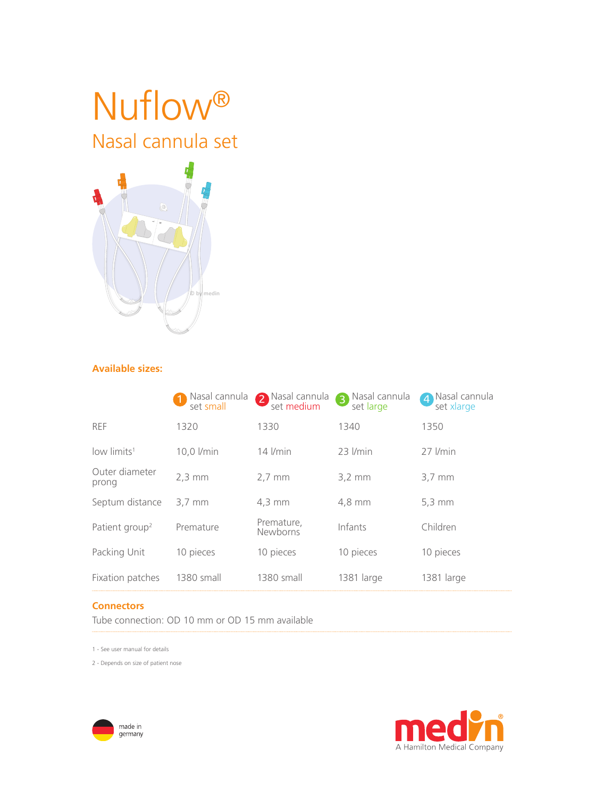# Nuflow® Nasal cannula set



# **Available sizes:**

|                            | Nasal cannula<br>set small | Nasal cannula<br>set medium<br>2 | Nasal cannula<br>່ 3<br>set large | Nasal cannula<br>$\overline{4}$<br>set xlarge |
|----------------------------|----------------------------|----------------------------------|-----------------------------------|-----------------------------------------------|
| <b>REF</b>                 | 1320                       | 1330                             | 1340                              | 1350                                          |
| low limits <sup>1</sup>    | 10,0 l/min                 | $14$ $l/min$                     | 23 <i>I/min</i>                   | 27 <i>I/min</i>                               |
| Outer diameter<br>prong    | $2,3 \text{ mm}$           | $2,7 \text{ mm}$                 | $3,2 \, \text{mm}$                | $3,7 \, \text{mm}$                            |
| Septum distance            | $3.7 \text{ mm}$           | $4.3 \text{ mm}$                 | 4.8 mm                            | $5,3 \, \text{mm}$                            |
| Patient group <sup>2</sup> | Premature                  | Premature,<br>Newborns           | Infants                           | Children                                      |
| Packing Unit               | 10 pieces                  | 10 pieces                        | 10 pieces                         | 10 pieces                                     |
| Fixation patches           | 1380 small                 | 1380 small                       | 1381 large                        | 1381 large                                    |

# **Connectors**

Tube connection: OD 10 mm or OD 15 mm available

1 - See user manual for details

2 - Depends on size of patient nose